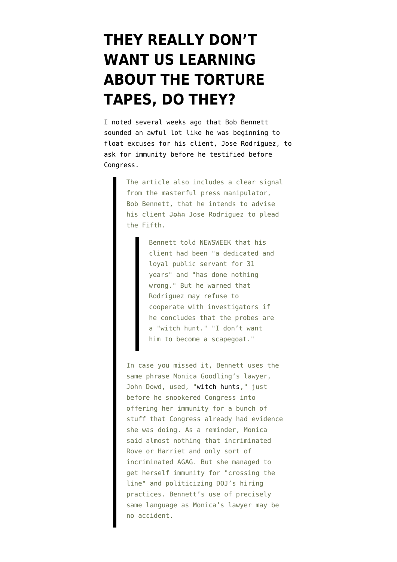## **[THEY REALLY DON'T](https://www.emptywheel.net/2008/01/09/they-really-dont-want-us-learning-about-the-torture-tapes-do-they/) [WANT US LEARNING](https://www.emptywheel.net/2008/01/09/they-really-dont-want-us-learning-about-the-torture-tapes-do-they/) [ABOUT THE TORTURE](https://www.emptywheel.net/2008/01/09/they-really-dont-want-us-learning-about-the-torture-tapes-do-they/) [TAPES, DO THEY?](https://www.emptywheel.net/2008/01/09/they-really-dont-want-us-learning-about-the-torture-tapes-do-they/)**

I [noted](http://emptywheel.firedoglake.com/2007/12/16/isikoff-to-congress-make-sure-you-ask-for-the-negroponte-memo/) several weeks ago that Bob Bennett sounded an awful lot like he was beginning to float excuses for his client, Jose Rodriguez, to ask for immunity before he testified before Congress.

> The article also includes a clear signal from the masterful press manipulator, Bob Bennett, that he intends to advise his client John Jose Rodriguez to plead the Fifth.

> > Bennett told NEWSWEEK that his client had been "a dedicated and loyal public servant for 31 years" and "has done nothing wrong." But he warned that Rodriguez may refuse to cooperate with investigators if he concludes that the probes are a "witch hunt." "I don't want him to become a scapegoat."

In case you missed it, Bennett uses the same phrase Monica Goodling's lawyer, John Dowd, used, ["witch hunts,](http://www.zimbio.com/Monica+M.+Goodling/articles/5/Zip+Locked+and+in+the+Freezer)" just before he snookered Congress into offering her immunity for a bunch of stuff that Congress already had evidence she was doing. As a reminder, Monica said almost nothing that incriminated Rove or Harriet and only sort of incriminated AGAG. But she managed to get herself immunity for "crossing the line" and politicizing DOJ's hiring practices. Bennett's use of precisely same language as Monica's lawyer may be no accident.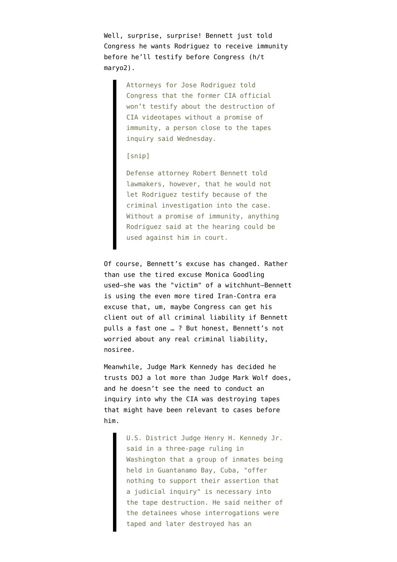Well, surprise, surprise! Bennett [just told](http://www.casperstartribune.net/articles/2008/01/09/ap/washington/d8u2met84.txt) Congress he wants Rodriguez to receive immunity before he'll testify before Congress (h/t [maryo2](http://emptywheel.firedoglake.com/2008/01/09/michigans-clusterfuck-prelude-to-a-national-clusterfuck/#comment-43288)).

> Attorneys for Jose Rodriguez told Congress that the former CIA official won't testify about the destruction of CIA videotapes without a promise of immunity, a person close to the tapes inquiry said Wednesday.

## [snip]

Defense attorney Robert Bennett told lawmakers, however, that he would not let Rodriguez testify because of the criminal investigation into the case. Without a promise of immunity, anything Rodriguez said at the hearing could be used against him in court.

Of course, Bennett's excuse has changed. Rather than use the tired excuse Monica Goodling used–she was the "victim" of a witchhunt–Bennett is using the even more tired Iran-Contra era excuse that, um, maybe Congress can get his client out of all criminal liability if Bennett pulls a fast one … ? But honest, Bennett's not worried about any real criminal liability, nosiree.

Meanwhile, Judge Mark Kennedy [has decided](http://www.washingtonpost.com/wp-dyn/content/article/2008/01/09/AR2008010902930.html?hpid=moreheadlines) he trusts DOJ a lot more than [Judge Mark Wolf does,](http://emptywheel.firedoglake.com/2008/01/06/bostons-chief-judge-opr-isnt-doing-its-job/) and he doesn't see the need to conduct an inquiry into why the CIA was destroying tapes that might have been relevant to cases before him.

> U.S. District Judge Henry H. Kennedy Jr. said in a three-page ruling in Washington that a group of inmates being held in Guantanamo Bay, Cuba, "offer nothing to support their assertion that a judicial inquiry" is necessary into the tape destruction. He said neither of the detainees whose interrogations were taped and later destroyed has an